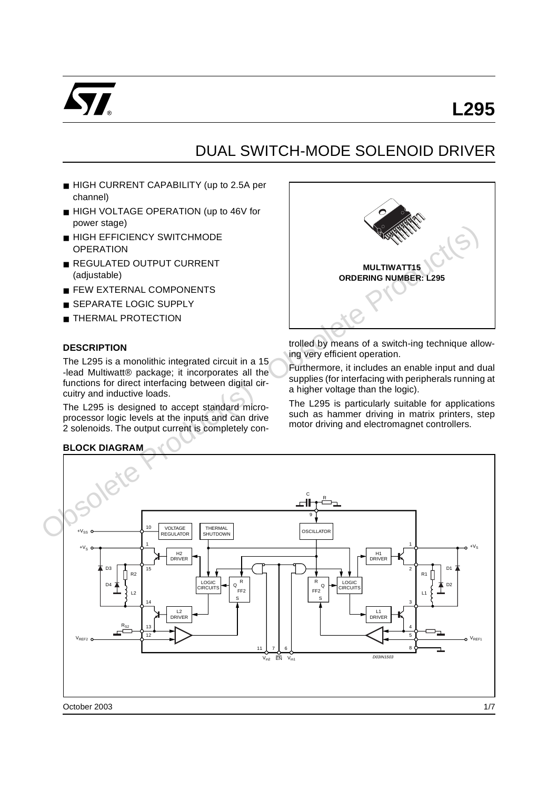

# **L295**

## DUAL SWITCH-MODE SOLENOID DRIVER

- HIGH CURRENT CAPABILITY (up to 2.5A per channel)
- HIGH VOLTAGE OPERATION (up to 46V for power stage)
- HIGH EFFICIENCY SWITCHMODE **OPERATION**
- REGULATED OUTPUT CURRENT (adjustable)
- **E FEW EXTERNAL COMPONENTS**
- SEPARATE LOGIC SUPPLY
- **THERMAL PROTECTION**

### **DESCRIPTION**

The L295 is a monolithic integrated circuit in a 15 -lead Multiwatt® package; it incorporates all the functions for direct interfacing between digital circuitry and inductive loads.

The L295 is designed to accept standard microprocessor logic levels at the inputs and can drive 2 solenoids. The output current is completely con-

### **BLOCK DIAGRAM**



trolled by means of a switch-ing technique allowing very efficient operation.

Furthermore, it includes an enable input and dual supplies (for interfacing with peripherals running at a higher voltage than the logic).

The L295 is particularly suitable for applications such as hammer driving in matrix printers, step motor driving and electromagnet controllers.

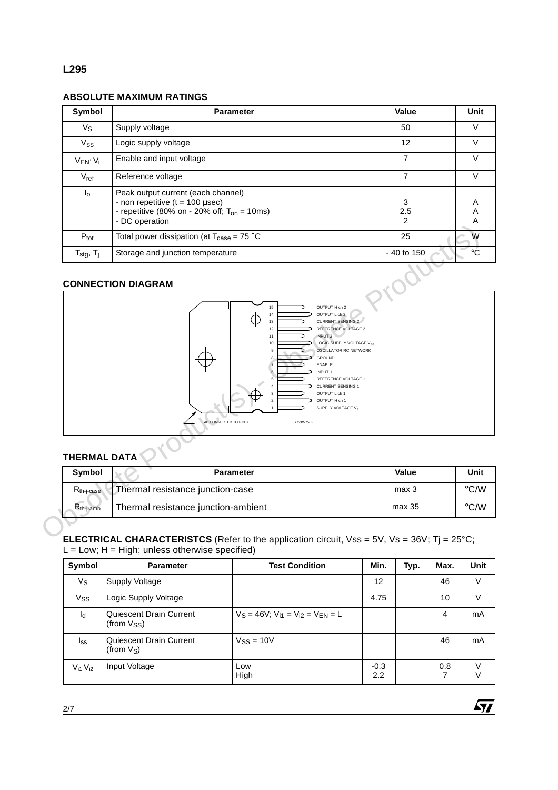## **ABSOLUTE MAXIMUM RATINGS**

| Symbol                                             | <b>Parameter</b>                                                                                                                                 | Value         | Unit        |
|----------------------------------------------------|--------------------------------------------------------------------------------------------------------------------------------------------------|---------------|-------------|
| Vs                                                 | Supply voltage                                                                                                                                   | 50            | V           |
| $V_{SS}$                                           | Logic supply voltage                                                                                                                             | 12            | V           |
| $V_{EN'}V_i$                                       | Enable and input voltage                                                                                                                         |               | V           |
| $V_{ref}$                                          | Reference voltage                                                                                                                                | 7             | V           |
| $I_{\circ}$                                        | Peak output current (each channel)<br>- non repetitive $(t = 100 \mu sec)$<br>- repetitive (80% on - 20% off; $T_{on}$ = 10ms)<br>- DC operation | 3<br>2.5<br>2 | A<br>Α<br>Α |
| $P_{\text{tot}}$                                   | Total power dissipation (at $T_{\text{case}} = 75$ "C                                                                                            | 25            | W           |
| $\mathsf{T}_{\text{stg}},\, \mathsf{T}_{\text{j}}$ | Storage and junction temperature                                                                                                                 | - 40 to 150   | $^{\circ}C$ |

## **CONNECTION DIAGRAM**



## **THERMAL DATA**

| <b>Symbol</b>          | <b>Parameter</b>                    | Value  | Unit               |
|------------------------|-------------------------------------|--------|--------------------|
| $R_{th-i\text{-case}}$ | Thermal resistance junction-case    | max 3  | $\rm ^{\circ}$ C/W |
| $R_{th-i-amb}$         | Thermal resistance junction-ambient | max 35 | $\rm ^{\circ}$ C/W |

**ELECTRICAL CHARACTERISTCS** (Refer to the application circuit, Vss = 5V, Vs = 36V; Tj = 25°C;  $L = Low$ ;  $H = High$ ; unless otherwise specified)

| Symbol         | <b>Parameter</b>                                   | <b>Test Condition</b>                        | Min.          | Typ. | Max.     | <b>Unit</b> |
|----------------|----------------------------------------------------|----------------------------------------------|---------------|------|----------|-------------|
| Vs             | Supply Voltage                                     |                                              | 12            |      | 46       | $\vee$      |
| Vss            | Logic Supply Voltage                               |                                              | 4.75          |      | 10       | V           |
| $I_d$          | Quiescent Drain Current<br>(from V <sub>SS</sub> ) | $V_S = 46V$ ; $V_{i1} = V_{i2} = V_{FN} = L$ |               |      | 4        | mA          |
| $I_{SS}$       | Quiescent Drain Current<br>(from V <sub>S</sub> )  | $V$ <sub>SS</sub> = 10V                      |               |      | 46       | mA          |
| $V_{i1}V_{i2}$ | Input Voltage                                      | Low<br>High                                  | $-0.3$<br>2.2 |      | 0.8<br>7 | V           |

 $\sqrt{M}$ 

2/7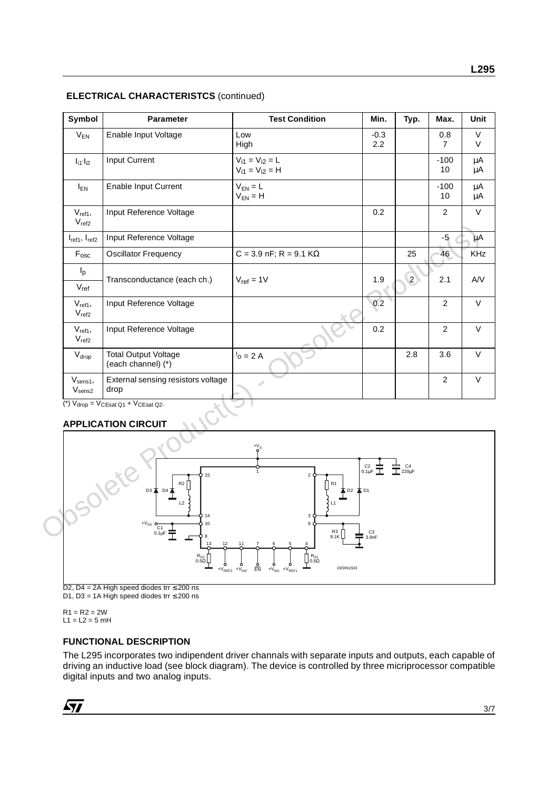|  | <b>ELECTRICAL CHARACTERISTCS (continued)</b> |  |
|--|----------------------------------------------|--|
|--|----------------------------------------------|--|

| Symbol                            | Parameter                                                                                 | <b>Test Condition</b>                                                                                | Min.                                            | Typ.                           | Max.                | Unit          |
|-----------------------------------|-------------------------------------------------------------------------------------------|------------------------------------------------------------------------------------------------------|-------------------------------------------------|--------------------------------|---------------------|---------------|
| $V_{EN}$                          | Enable Input Voltage                                                                      | Low<br>High                                                                                          | $-0.3$<br>2.2                                   |                                | 0.8<br>$\mathbf{7}$ | V<br>V        |
| $I_{i1'}I_{i2}$                   | Input Current                                                                             | $V_{11} = V_{12} = L$<br>$V_{i1} = V_{i2} = H$                                                       |                                                 |                                | $-100$<br>10        | μA<br>μA      |
| $I_{EN}$                          | <b>Enable Input Current</b>                                                               | $V_{EN} = L$<br>$V_{EN} = H$                                                                         |                                                 |                                | $-100$<br>10        | $\mu$ A<br>μA |
| $V_{ref1}$ ,<br>$V_{ref2}$        | Input Reference Voltage                                                                   |                                                                                                      | 0.2                                             |                                | $\overline{2}$      | $\vee$        |
| $I_{ref1}$ , $I_{ref2}$           | Input Reference Voltage                                                                   |                                                                                                      |                                                 |                                | $-5$                | μA            |
| $F_{\rm osc}$                     | <b>Oscillator Frequency</b>                                                               | $C = 3.9$ nF; R = 9.1 K $\Omega$                                                                     |                                                 | 25                             | 46                  | <b>KHz</b>    |
| $I_p$<br>$V_{\text{ref}}$         | Transconductance (each ch.)                                                               | $V_{ref} = 1V$                                                                                       | 1.9                                             | $\overline{2}$                 | 2.1                 | A/V           |
| $V_{ref1}$<br>V <sub>ref2</sub>   | Input Reference Voltage                                                                   |                                                                                                      | 0.2                                             |                                | $\overline{2}$      | $\vee$        |
| $V_{ref1}$<br>$V_{ref2}$          | Input Reference Voltage                                                                   |                                                                                                      | 0.2                                             |                                | $\overline{2}$      | $\vee$        |
| $V_{drop}$                        | <b>Total Output Voltage</b><br>(each channel) (*)                                         | $1o = 2 A$                                                                                           |                                                 | 2.8                            | 3.6                 | V             |
| $V_{sens1}$<br>V <sub>sens2</sub> | External sensing resistors voltage<br>drop                                                | ت                                                                                                    |                                                 |                                | $\overline{2}$      | V             |
|                                   | (*) $V_{drop} = V_{CEsat Q1} + V_{CEsat Q2}$ .<br><b>APPLICATION CIRCUIT</b>              |                                                                                                      |                                                 |                                |                     |               |
| Josolet'                          | 15<br>R2<br>D3 $\overline{\blacktriangle}$ D4 $\overline{\blacktriangle}$<br>L2<br>重<br>8 | $\frac{+V_S}{Q}$<br>$\overline{2}$<br>R <sub>1</sub><br>本 D2 本 D1<br>3<br>9<br>$R^3$ <sub>9.1K</sub> | $rac{C2}{0.1 \mu F}$<br>C <sub>3</sub><br>3.9nF | $\stackrel{\pm}{\equiv}$ 220μF |                     |               |

## **APPLICATION CIRCUIT**



D2, D4 = 2A High speed diodes trr ≤ 200 ns D1, D3 = 1A High speed diodes trr  $\leq$  200 ns

 $R1 = R2 = 2W$  $L1 = L2 = 5$  mH

### **FUNCTIONAL DESCRIPTION**

The L295 incorporates two indipendent driver channals with separate inputs and outputs, each capable of driving an inductive load (see block diagram). The device is controlled by three micriprocessor compatible digital inputs and two analog inputs.

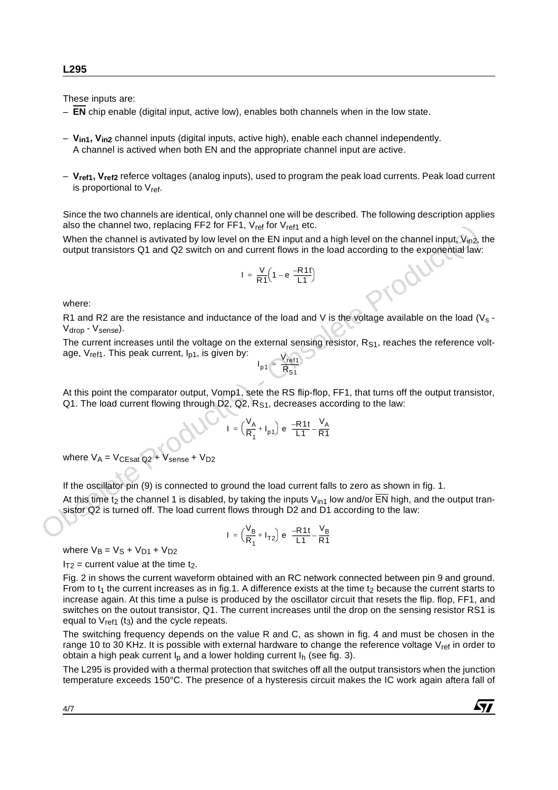These inputs are:

- **EN** chip enable (digital input, active low), enables both channels when in the low state.
- **Vin1, Vin2** channel inputs (digital inputs, active high), enable each channel independently. A channel is actived when both EN and the appropriate channel input are active.
- **Vref1, Vref2** referce voltages (analog inputs), used to program the peak load currents. Peak load current is proportional to  $V_{ref.}$

Since the two channels are identical, only channel one will be described. The following description applies also the channel two, replacing FF2 for FF1,  $V_{ref}$  for  $V_{ref1}$  etc.

When the channel is avtivated by low level on the EN input and a high level on the channel input,  $V_{in2}$ , the output transistors Q1 and Q2 switch on and current flows in the load according to the exponential law:

$$
I = \frac{V}{R1}\left(1 - e^{-\frac{R1t}{L1}}\right)
$$

where:

R1 and R2 are the resistance and inductance of the load and V is the voltage available on the load (Vs -Vdrop - Vsense).

The current increases until the voltage on the external sensing resistor,  $R_{S1}$ , reaches the reference voltage,  $V_{ref1}$ . This peak current,  $I_{p1}$ , is given by:  $V_{ref1}$ also me channel tow, repaired  $p+2$  for  $p+1$ ,  $V_{eq}$  for  $V_{eq}$  for  $V_{eq}$  for  $V_{eq}$  of  $V_{eq}$  of  $V_{eq}$  of  $V_{eq}$  of  $V_{eq}$  of  $V_{eq}$  of  $V_{eq}$  of  $V_{eq}$  of  $V_{eq}$  of  $V_{eq}$  on the EN input and a high level on the chan

$$
I_{p1} = \frac{V_{ref1}}{R_{S1}}
$$

At this point the comparator output, Vomp1, sete the RS flip-flop, FF1, that turns off the output transistor, Q1. The load current flowing through D2, Q2,  $R<sub>S1</sub>$ , decreases according to the law:

$$
I = \left(\frac{V_A}{R_1} + I_{p1}\right) e^{-\frac{1}{R_1} - \frac{V_A}{R_1}}
$$

where  $V_A = V_{CEsat Q2} + V_{sense} + V_{D2}$ 

If the oscillator pin (9) is connected to ground the load current falls to zero as shown in fig. 1.

At this time t<sub>2</sub> the channel 1 is disabled, by taking the inputs V<sub>in1</sub> low and/or  $\overline{EN}$  high, and the output transistor Q2 is turned off. The load current flows through D2 and D1 according to the law:

$$
I = \left(\frac{V_B}{R_1} + I_{T2}\right) e^{-\frac{R1t}{L1} - \frac{V_B}{R1}}
$$

where  $V_B = V_S + V_{D1} + V_{D2}$ 

 $I_{T2}$  = current value at the time t<sub>2</sub>.

Fig. 2 in shows the current waveform obtained with an RC network connected between pin 9 and ground. From to  $t_1$  the current increases as in fig.1. A difference exists at the time  $t_2$  because the current starts to increase again. At this time a pulse is produced by the oscillator circuit that resets the flip. flop, FF1, and switches on the outout transistor, Q1. The current increases until the drop on the sensing resistor RS1 is equal to  $V_{ref1}$  (t<sub>3</sub>) and the cycle repeats.

The switching frequency depends on the value R and C, as shown in fig. 4 and must be chosen in the range 10 to 30 KHz. It is possible with external hardware to change the reference voltage  $V_{ref}$  in order to obtain a high peak current  $I<sub>b</sub>$  and a lower holding current  $I<sub>b</sub>$  (see fig. 3).

The L295 is provided with a thermal protection that switches off all the output transistors when the junction temperature exceeds 150°C. The presence of a hysteresis circuit makes the IC work again aftera fall of

$$
\sqrt{M}
$$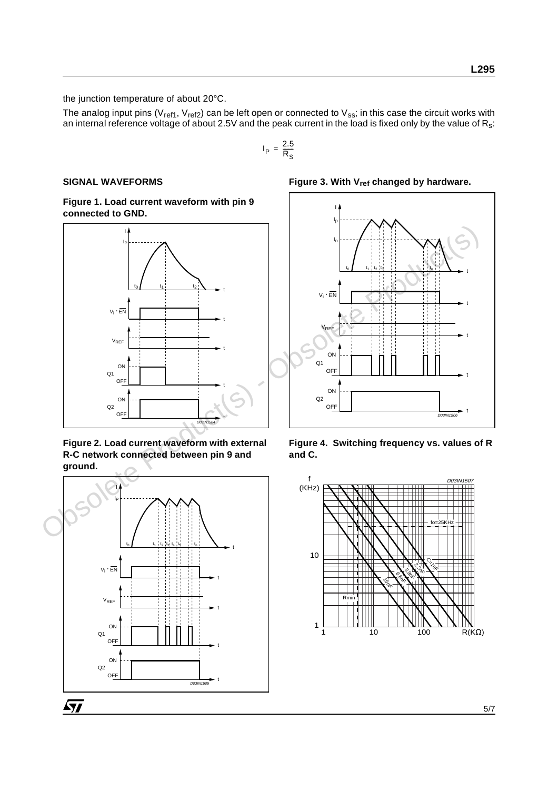the junction temperature of about 20°C.

The analog input pins (V<sub>ref1</sub>, V<sub>ref2</sub>) can be left open or connected to V<sub>ss</sub>; in this case the circuit works with an internal reference voltage of about 2.5V and the peak current in the load is fixed only by the value of  $\mathsf{R}_{\mathsf{s}}$ :

$$
I_{\mathsf{P}} = \frac{2.5}{R_S}
$$

#### **SIGNAL WAVEFORMS**

**Figure 1. Load current waveform with pin 9 connected to GND.**



**Figure 2. Load current waveform with external R-C network connected between pin 9 and ground.**



Figure 3. With V<sub>ref</sub> changed by hardware.



**Figure 4. Switching frequency vs. values of R and C.**

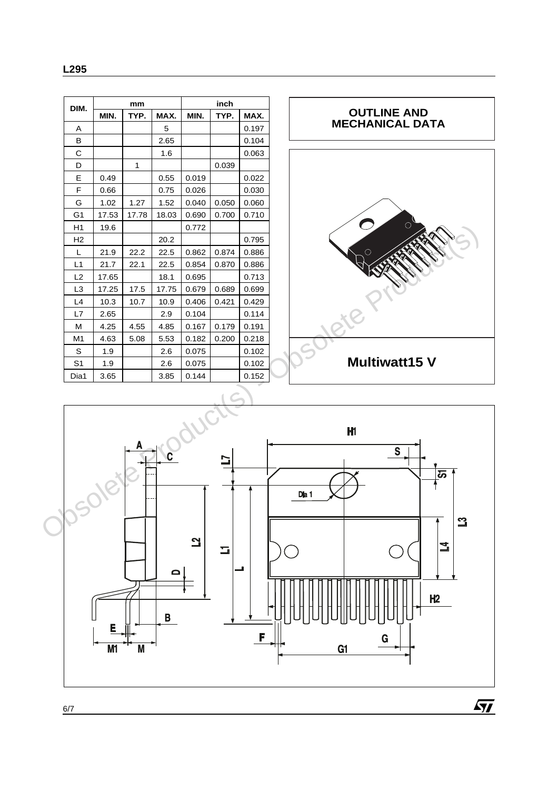| DIM.           | mm    |       |       | inch  |       |       |  |
|----------------|-------|-------|-------|-------|-------|-------|--|
|                | MIN.  | TYP.  | MAX.  | MIN.  | TYP.  | MAX.  |  |
| A              |       |       | 5     |       |       | 0.197 |  |
| в              |       |       | 2.65  |       |       | 0.104 |  |
| С              |       |       | 1.6   |       |       | 0.063 |  |
| D              |       | 1     |       |       | 0.039 |       |  |
| Е              | 0.49  |       | 0.55  | 0.019 |       | 0.022 |  |
| F              | 0.66  |       | 0.75  | 0.026 |       | 0.030 |  |
| G              | 1.02  | 1.27  | 1.52  | 0.040 | 0.050 | 0.060 |  |
| G <sub>1</sub> | 17.53 | 17.78 | 18.03 | 0.690 | 0.700 | 0.710 |  |
| H1             | 19.6  |       |       | 0.772 |       |       |  |
| H <sub>2</sub> |       |       | 20.2  |       |       | 0.795 |  |
| L              | 21.9  | 22.2  | 22.5  | 0.862 | 0.874 | 0.886 |  |
| L1             | 21.7  | 22.1  | 22.5  | 0.854 | 0.870 | 0.886 |  |
| L2             | 17.65 |       | 18.1  | 0.695 |       | 0.713 |  |
| L <sub>3</sub> | 17.25 | 17.5  | 17.75 | 0.679 | 0.689 | 0.699 |  |

L4 | 10.3 | 10.7 | 10.9 | 0.406 | 0.421 | 0.429 L7 | 2.65 | | 2.9 | 0.104 | | 0.114 M 4.25 4.55 4.85 0.167 0.179 0.191 M1 4.63 5.08 5.53 0.182 0.200 0.218  $S \mid 1.9 \mid$  2.6 0.075 0.102 S1 1.9 2.6 0.075 0.102 Dia1 3.65 3.85 0.144 0.152



 $\sqrt{11}$ 



**MAX.** 0.197  $0.104$ 0.063

0.795 0.886 0.886  $0.713$ 

6/7